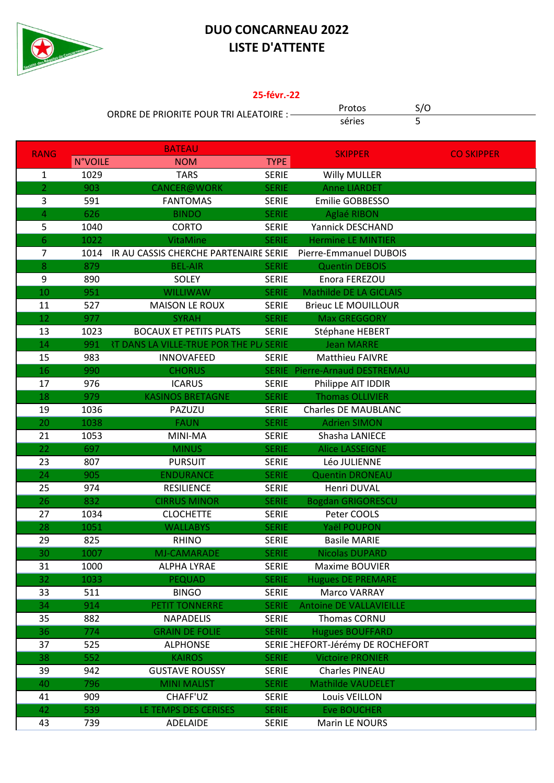

## **DUO CONCARNEAU 2022 LISTE D'ATTENTE**

## 25-févr.-22

ORDRE DE PRIORITE POUR TRI ALEATOIRE : -

Protos séries

 $S/O$ 

 $\overline{5}$ 

| <b>RANG</b>             |                | <b>BATEAU</b>                                  |              | <b>SKIPPER</b>                    |                   |
|-------------------------|----------------|------------------------------------------------|--------------|-----------------------------------|-------------------|
|                         | <b>N°VOILE</b> | <b>NOM</b>                                     | TYPE         |                                   | <b>CO SKIPPER</b> |
| $\mathbf{1}$            | 1029           | <b>TARS</b>                                    | <b>SERIE</b> | <b>Willy MULLER</b>               |                   |
| $\overline{2}$          | 903            | CANCER@WORK                                    | <b>SERIE</b> | <b>Anne LIARDET</b>               |                   |
| 3                       | 591            | <b>FANTOMAS</b>                                | <b>SERIE</b> | Emilie GOBBESSO                   |                   |
| $\overline{\mathbf{4}}$ | 626            | <b>BINDO</b>                                   | <b>SERIE</b> | Aglaé RIBON                       |                   |
| 5                       | 1040           | <b>CORTO</b>                                   | <b>SERIE</b> | Yannick DESCHAND                  |                   |
| 6                       | 1022           | VitaMine                                       | <b>SERIE</b> | <b>Hermine LE MINTIER</b>         |                   |
| 7                       | 1014           | IR AU CASSIS CHERCHE PARTENAIRE SERIE          |              | Pierre-Emmanuel DUBOIS            |                   |
| $\bf 8$                 | 879            | <b>BEL-AIR</b>                                 | <b>SERIE</b> | <b>Quentin DEBOIS</b>             |                   |
| 9                       | 890            | SOLEY                                          | <b>SERIE</b> | Enora FEREZOU                     |                   |
| 10                      | 951            | <b>WILLIWAW</b>                                | <b>SERIE</b> | Mathilde DE LA GICLAIS            |                   |
| 11                      | 527            | <b>MAISON LE ROUX</b>                          | <b>SERIE</b> | <b>Brieuc LE MOUILLOUR</b>        |                   |
| 12                      | 977            | <b>SYRAH</b>                                   | <b>SERIE</b> | <b>Max GREGGORY</b>               |                   |
| 13                      | 1023           | <b>BOCAUX ET PETITS PLATS</b>                  | <b>SERIE</b> | Stéphane HEBERT                   |                   |
| 14                      | 991            | <b>RT DANS LA VILLE-TRUE POR THE PLI SERIE</b> |              | <b>Jean MARRE</b>                 |                   |
| 15                      | 983            | <b>INNOVAFEED</b>                              | <b>SERIE</b> | <b>Matthieu FAIVRE</b>            |                   |
| 16                      | 990            | <b>CHORUS</b>                                  |              | SERIE Pierre-Arnaud DESTREMAU     |                   |
| 17                      | 976            | <b>ICARUS</b>                                  | <b>SERIE</b> | Philippe AIT IDDIR                |                   |
| 18                      | 979            | <b>KASINOS BRETAGNE</b>                        | <b>SERIE</b> | <b>Thomas OLLIVIER</b>            |                   |
| 19                      | 1036           | PAZUZU                                         | <b>SERIE</b> | <b>Charles DE MAUBLANC</b>        |                   |
| 20                      | 1038           | <b>FAUN</b>                                    | <b>SERIE</b> | <b>Adrien SIMON</b>               |                   |
| 21                      | 1053           | MINI-MA                                        | <b>SERIE</b> | Shasha LANIECE                    |                   |
| 22                      | 697            | <b>MINUS</b>                                   | <b>SERIE</b> | <b>Alice LASSEIGNE</b>            |                   |
| 23                      | 807            | <b>PURSUIT</b>                                 | <b>SERIE</b> | Léo JULIENNE                      |                   |
| 24                      | 905            | <b>ENDURANCE</b>                               | <b>SERIE</b> | <b>Quentin DRONEAU</b>            |                   |
| 25                      | 974            | <b>RESILIENCE</b>                              | <b>SERIE</b> | Henri DUVAL                       |                   |
| 26                      | 832            | <b>CIRRUS MINOR</b>                            | <b>SERIE</b> | <b>Bogdan GRIGORESCU</b>          |                   |
| 27                      | 1034           | <b>CLOCHETTE</b>                               | <b>SERIE</b> | Peter COOLS                       |                   |
| 28                      | 1051           | <b>WALLABYS</b>                                | <b>SERIE</b> | Yaël POUPON                       |                   |
| 29                      | 825            | <b>RHINO</b>                                   | <b>SERIE</b> | <b>Basile MARIE</b>               |                   |
| 30                      | 1007           | <b>MJ-CAMARADE</b>                             | <b>SERIE</b> | <b>Nicolas DUPARD</b>             |                   |
| 31                      | 1000           | ALPHA LYRAE                                    | <b>SERIE</b> | Maxime BOUVIER                    |                   |
| 32                      | 1033           | <b>PEQUAD</b>                                  | <b>SERIE</b> | <b>Hugues DE PREMARE</b>          |                   |
| 33                      | 511            | <b>BINGO</b>                                   | <b>SERIE</b> | Marco VARRAY                      |                   |
| 34                      | 914            | PETIT TONNERRE                                 | <b>SERIE</b> | <b>Antoine DE VALLAVIEILLE</b>    |                   |
| 35                      | 882            | <b>NAPADELIS</b>                               | <b>SERIE</b> | Thomas CORNU                      |                   |
| 36                      | 774            | <b>GRAIN DE FOLIE</b>                          | <b>SERIE</b> | <b>Hugues BOUFFARD</b>            |                   |
| 37                      | 525            | <b>ALPHONSE</b>                                |              | SERIE CHEFORT-Jérémy DE ROCHEFORT |                   |
| 38                      | 552            | <b>KAIROS</b>                                  | <b>SERIE</b> | <b>Victoire PRONIER</b>           |                   |
| 39                      | 942            | <b>GUSTAVE ROUSSY</b>                          | <b>SERIE</b> | Charles PINEAU                    |                   |
| 40                      | 796            | <b>MINI MALIST</b>                             | <b>SERIE</b> | <b>Mathilde VAUDELET</b>          |                   |
| 41                      | 909            | CHAFF'UZ                                       | <b>SERIE</b> | Louis VEILLON                     |                   |
| 42                      | 539            | LE TEMPS DES CERISES                           | <b>SERIE</b> | <b>Eve BOUCHER</b>                |                   |
| 43                      | 739            | ADELAIDE                                       | <b>SERIE</b> | Marin LE NOURS                    |                   |
|                         |                |                                                |              |                                   |                   |